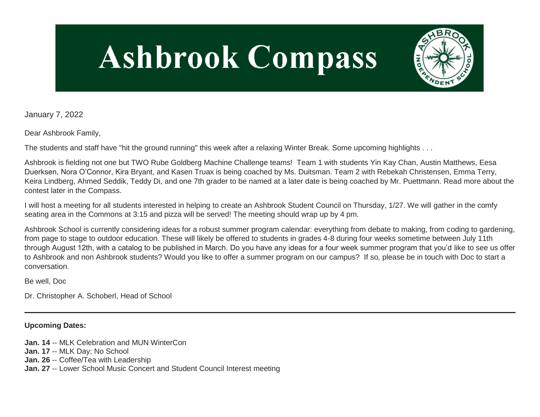# **Ashbrook Compass**



January 7, 2022

Dear Ashbrook Family,

The students and staff have "hit the ground running" this week after a relaxing Winter Break. Some upcoming highlights . . .

Ashbrook is fielding not one but TWO Rube Goldberg Machine Challenge teams! Team 1 with students Yin Kay Chan, Austin Matthews, Eesa Duerksen, Nora O'Connor, Kira Bryant, and Kasen Truax is being coached by Ms. Duitsman. Team 2 with Rebekah Christensen, Emma Terry, Keira Lindberg, Ahmed Seddik, Teddy Di, and one 7th grader to be named at a later date is being coached by Mr. Puettmann. Read more about the contest later in the Compass.

I will host a meeting for all students interested in helping to create an Ashbrook Student Council on Thursday, 1/27. We will gather in the comfy seating area in the Commons at 3:15 and pizza will be served! The meeting should wrap up by 4 pm.

Ashbrook School is currently considering ideas for a robust summer program calendar: everything from debate to making, from coding to gardening, from page to stage to outdoor education. These will likely be offered to students in grades 4-8 during four weeks sometime between July 11th through August 12th, with a catalog to be published in March. Do you have any ideas for a four week summer program that you'd like to see us offer to Ashbrook and non Ashbrook students? Would you like to offer a summer program on our campus? If so, please be in touch with Doc to start a conversation.

Be well, Doc

Dr. Christopher A. Schoberl, Head of School

**Upcoming Dates:**

**Jan. 14** -- MLK Celebration and MUN WinterCon **Jan. 17** -- MLK Day; No School **Jan. 26** -- Coffee/Tea with Leadership **Jan. 27** -- Lower School Music Concert and Student Council Interest meeting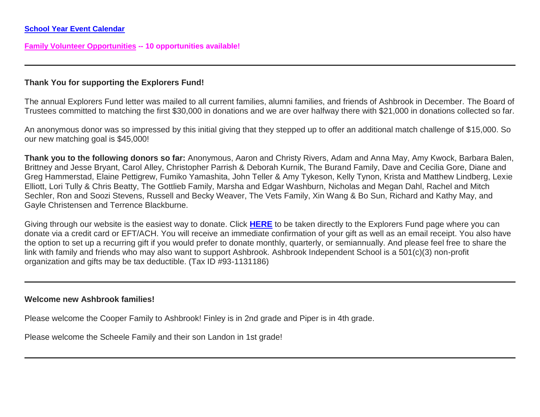**[Family Volunteer Opportunities](http://link.mystudentsprogress.com/ls/click?upn=VpBe6Z9t6RkEC4qAoQCerkRqVNRJCi4SE2bZPjoSvlxSlLFpfnUYhuutAutUGnBh84nj-2BJvhJlx1K1dJMDDqBY1qLZ1O0nCcHebienBZj-2BKxsXBin-2FugM50Q-2FqN8cLG3Urd1ZQzGcMWtkFleXRzacA-3D-3D6YeZ_1PndbFfBoQGSZbxwXHHEexw3B2F0fG-2BUmuXm6a-2BX-2BzvyjQSacRPO2Hs0Zs3QDvrOSPrNI0RlHw7FYFrxyb6zyE0-2FHIFc9Fcjzse9hgGqQUGYPTw5zVCFZYYc8uN35TmMi-2F-2BMe6t9BQFaPoJFSI8JunKPByHwprQRJE1mmjivImCNejd-2FDaEmvOOChgwlcfSXFhChXy3Zqnx5to88O3GJgAxaAn0KZ4-2FmcHDr7vbW8ccUp2Iwh6qTEJO1i8Nh-2FUheVjT8XDr9ZoFGuFAGKZcqV53thS6-2BLDoFW-2BHJFdlbrbEYhT-2Fe7yPZoyw2smmtn-2FwvJG7hQ9MJSj9EKKa6DDH7klRAQ5Kdx57QS1daZs7fg9KjWjcED-2FV-2F0qjiSHfi-2BMWk8h5137ucFr1xYJSsuaji9z-2BfbthRpAE5Qa2irZ9TGNQPzqafy0yWocFZRA49YKZc) -- 10 opportunities available!**

#### **Thank You for supporting the Explorers Fund!**

The annual Explorers Fund letter was mailed to all current families, alumni families, and friends of Ashbrook in December. The Board of Trustees committed to matching the first \$30,000 in donations and we are over halfway there with \$21,000 in donations collected so far.

An anonymous donor was so impressed by this initial giving that they stepped up to offer an additional match challenge of \$15,000. So our new matching goal is \$45,000!

**Thank you to the following donors so far:** Anonymous, Aaron and Christy Rivers, Adam and Anna May, Amy Kwock, Barbara Balen, Brittney and Jesse Bryant, Carol Alley, Christopher Parrish & Deborah Kurnik, The Burand Family, Dave and Cecilia Gore, Diane and Greg Hammerstad, Elaine Pettigrew, Fumiko Yamashita, John Teller & Amy Tykeson, Kelly Tynon, Krista and Matthew Lindberg, Lexie Elliott, Lori Tully & Chris Beatty, The Gottlieb Family, Marsha and Edgar Washburn, Nicholas and Megan Dahl, Rachel and Mitch Sechler, Ron and Soozi Stevens, Russell and Becky Weaver, The Vets Family, Xin Wang & Bo Sun, Richard and Kathy May, and Gayle Christensen and Terrence Blackburne.

Giving through our website is the easiest way to donate. Click **[HERE](http://link.mystudentsprogress.com/ls/click?upn=5XDbAd9r0ovG7GZusFBG8PaUF78UqItDelTGdwk7Y5YuTzHCPAjU3puEFCesf3czmLI6pjYvXrYopLnNSPnw-2Fg-3D-3DaBgn_1PndbFfBoQGSZbxwXHHEexw3B2F0fG-2BUmuXm6a-2BX-2BzvyjQSacRPO2Hs0Zs3QDvrOSPrNI0RlHw7FYFrxyb6zyD7-2FxNpsedcx163R99UC-2FTYGQflhkomTux2saeM7aVZtQ3oFVovCRWnoFEH9xuZKzbTaL3-2FwgWW-2BdqtCTtm0JGKFhmIDQmVJnzuxJaaIcHOy5dwLHlLNkCMuUqz0gZmah-2FCKF20Ek8f3hYguk04ayGhpCxv1LAEbKYbvaWa8ABvCjuTyie6WaC2fVd2WdT0T-2BCVjqdny5JWQY23GXh8E6K5HobcMYL4IOrV8Zs5T8IVahdEN7E2eLeEHCg-2BWve6aB6iQpJO126exKetUWf1FMQGUwlGralRFnZz9IO17ugN9wfpcYfS2QOLoOaY-2BR-2FsLYg37U4hbsdVlWmwrPco4jEL8rHBq-2B-2B6F0QO-2FyayGUp7X)** to be taken directly to the Explorers Fund page where you can donate via a credit card or EFT/ACH. You will receive an immediate confirmation of your gift as well as an email receipt. You also have the option to set up a recurring gift if you would prefer to donate monthly, quarterly, or semiannually. And please feel free to share the link with family and friends who may also want to support Ashbrook. Ashbrook Independent School is a 501(c)(3) non-profit organization and gifts may be tax deductible. (Tax ID #93-1131186)

#### **Welcome new Ashbrook families!**

Please welcome the Cooper Family to Ashbrook! Finley is in 2nd grade and Piper is in 4th grade.

Please welcome the Scheele Family and their son Landon in 1st grade!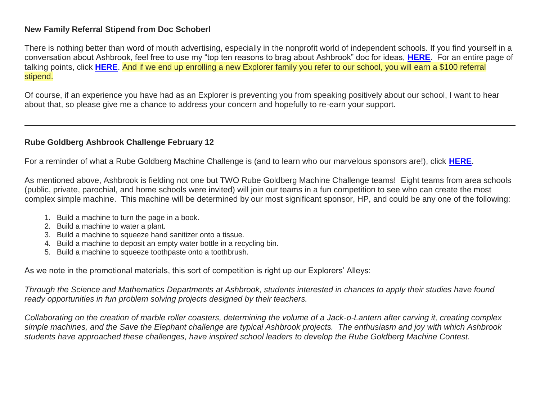#### **New Family Referral Stipend from Doc Schoberl**

There is nothing better than word of mouth advertising, especially in the nonprofit world of independent schools. If you find yourself in a conversation about Ashbrook, feel free to use my "top ten reasons to brag about Ashbrook" doc for ideas, **[HERE](http://link.mystudentsprogress.com/ls/click?upn=TUHIw15RkZKA-2BkrQie-2FntaQiAIzyVKoAcjBRQlnVZKd-2BHIYHyC6WBSgp4Ve86SHv8a7wE6eUxxK5iqBVRh3xGAZsNJTwm2VPDqtGZZwdktam7cJ4QSza3hclvtXaHhvB2XxX-2FHpI3M-2BvsHAM-2F-2FSbZ5pEgJQymg3fb4dIGerQ3KVLsicwlA5Ke1wzwxIx2IaX47Hj8VBADqQn1EmRZbwMRH9hmFOFM-2FYUo5ZYG0JScfJr42pOsv6xTmjABo67Nx6wblN6O1EOcfokQZMSaNY8349jykj6C6ksXL-2BmT12VlCXPNp27-2F0LbOiHtJtIaUuOD4GdX6NtyvIuD3mjnJCwXjqKx0KZVCSI4-2BzHk6VYHyJCkL-2FdcI3mBjI-2FQNyBXXb76s5l5SKDn0mq5z5HfdCtLtMZJStTjPIOVrSkgmJDxiz2Li2sVr-2FbAzPRM8IcEvMZhUIyywpbWNuc1JUtUzbIprUaVBGzYeM0Y0Qhu7DK6xd4swu6Xd-2Btr80eZTo-2B3rl02b-2Bip-2BfFimo7u-2BP6VNTGzH8dqjGx9M7c4SYyEuSY7bsBosRTlKT2Av1qAcZWkBe0QYHGrpdJn-2BVn89B2qCwGqsCWq-2B44Xgx25g0idLgRP6o25tzUFAuZLvEM69H6lKE371qgke1Qp81-2BVmMAwKMHHNV-2Fp-2FWsJgZWPuQfkOCnbyJWbin9E7HCfGl-2Bbgqc1oz3U2gdGytbX8GI71zwiCebWUnLSgEZDaHZtFfsXsMBKwSNW0QYsrOEkd4BrnUJT-2Fv-2BfE4FGUN8pG7rRv1iMIBM7QE0MdSHB4XP4OxHlq856huBZsuBLKeyxiwWJ14jmTDd9QpyHm-2FJNWhhfZk2aLedHOyH8uHz-2FxKXlogdvID7axmJCUU5TxXq9-2B5cePE5JlVVWhHm-2F-2B-2BtESuhwASeLCZggFnKOvZWrkGsGC0m8rRWpJqs-3De93e_1PndbFfBoQGSZbxwXHHEexw3B2F0fG-2BUmuXm6a-2BX-2BzvyjQSacRPO2Hs0Zs3QDvrOSPrNI0RlHw7FYFrxyb6zyGwP-2B9v03FIjIty4wEck4v7eiDBNcHRkijK94l7omG-2Bja1AbwFmWuTAvlA8IWf8GGvR6ULX1ow6ykWJ1CqvxCeYeJHMLvuohnsbCylTv66NKDH1XO4YyiRT-2BJ44nr1cB0kJnA8E747FVJyR4g-2Fuu8ORc8jhcvdlUBGKkEwmkDUaxUwRecfknlMXOJ1AY3NOSBFrIOZTmbVFugj65-2FnQ7evGSJeppGmbheHZ-2BfjCmtQ1rAVqUm7BEEh1hQLkCaDuk0WV6YNqycC04vAncp9JxXta56ko4lLhokgVy9dE01x8kXaZSmqmzhAFLM0cnIXPAwEgJSXm2bCH1B1YivnecAqnN94hnWnkHP9QxuP6Lvbrj)**. For an entire page of talking points, click **[HERE](http://link.mystudentsprogress.com/ls/click?upn=TUHIw15RkZKA-2BkrQie-2FntaQiAIzyVKoAcjBRQlnVZKd-2BHIYHyC6WBSgp4Ve86SHvjAP5Pp39wnVwPD89AwlNELYgYQV0LTFwk5Vx6CxwBSYJTU9-2BI2xgoJPo0PXZ-2Brvcnt2wXscEO0OZ8rcdqKJGtEKbNH0mxRY3PsI8q-2FePFg-2FM25883qUgX4LL0F2v3Nv05L5S8LohhXB47aITaWjjnfxkH4Pd4Bw-2BCOJnaT-2F-2FywtoWmvcwteFdFhh0UQKIeV-2FONKWbxhlM5R0J-2BSZxuLsHxqHonJ6wqKIpuoEAf7PPfbAwtdT31LSKJanLu3F0qhDNYxQJgsJMISJmy6vajZzfEYuGdzeNCqsLRUELYi0RYY9anuM4s9k2TklDzVOZMDe72fece4h-2FFZhkdlinaYEf5ceHbWqNCVAwTtKcWHQFPdbuzcbqPfnj5nvYQemRnB14GjP4pP2Jcgo80LDMbaZGGGNLAhhddN-2FXVyqNvUrwb8BufnQbgbIJ5P1w6VDd8E3w5Ms0vlWpS9lRT-2BBkgUtyvRnixhWb8OGv9aI-2F3TFhinVY3Qfc9Rte70qA6P9s9cx3jyOD0oTaYEpWY2JHNvgEAccRlex-2BjtpTqn5DkCJ1oWbNSsXP-2BVB8Xirxz6q05p1zVajKAtFDsMoOYKOrWaOgizaMPJjaIVI2UXD5cDxfBezNw06wPGlHKfxXw7A-2FTWw7EWbmSixAWhNpuCZ8A1qaik-2FNMvEWOKyLdAAwo53bBtKewJUxe3LSg73uz28Hle00BCrwNtKooTuJmAyBWYAWmn5r5UopDxu6y5Y1oXicntF8vFpDbpDaFWXoCR9CAUFr-2BaXZWoaDY3nPS4BUesTGFsk-2By1Hjv2oA09W4dcoV8aOoHCmN1OXsRYeyFKMKR9XRb1Dc-2B2slrDcdrJetqGJog-3D-3Drp_4_1PndbFfBoQGSZbxwXHHEexw3B2F0fG-2BUmuXm6a-2BX-2BzvyjQSacRPO2Hs0Zs3QDvrOSPrNI0RlHw7FYFrxyb6zyBT5Ok6N-2BCsXTeAw6YhUM8XImwo6AeDjjwUqHqUoozkvjJHT0sN5RA7VJbfR85HQ5jOPxXx5EuLWgaNVJP-2FZeCtInfRkdUds43tBBH7oYfRUdUd0YsSWoYrxj-2FTpheM4CijQIzUa36UY8NsVHd5lV-2B-2BK1inxj44RFmA-2BxrMHIzql0nQec3RbNV7HnV-2FU2Q9fQbh5hYLK0USk1Ct1Y-2Byjmp51dWGu-2B2LU5c-2F4-2FVDwvQWh1bPSyFMtJDv51yJFpvo4fCcMlOIJhHzZxeV9uQjuqbIOkTS00KGYJREKVvPLrKcgYTdJmwsHA0uWw-2F-2BG3A3cA7EBNHjVbQ38sgbC-2FHZy0pUyRzVD9-2FfTZqAyphJTmtEN)**. And if we end up enrolling a new Explorer family you refer to our school, you will earn a \$100 referral stipend.

Of course, if an experience you have had as an Explorer is preventing you from speaking positively about our school, I want to hear about that, so please give me a chance to address your concern and hopefully to re-earn your support.

## **Rube Goldberg Ashbrook Challenge February 12**

For a reminder of what a Rube Goldberg Machine Challenge is (and to learn who our marvelous sponsors are!), click **[HERE](http://link.mystudentsprogress.com/ls/click?upn=VpBe6Z9t6RkEC4qAoQCerkRqVNRJCi4SE2bZPjoSvly4Fl1rEVk6iTXLXAh3m1uO6ZREGgy0jRpPy3z9B6qC7k13dGK-2BzvNKk1fYfPQ2imllJl8VwFJT0rh-2BQ5poTuj6EFvd_1PndbFfBoQGSZbxwXHHEexw3B2F0fG-2BUmuXm6a-2BX-2BzvyjQSacRPO2Hs0Zs3QDvrOSPrNI0RlHw7FYFrxyb6zyPo3dy0Q0wCudY2XF5TY8XEwiXln6M-2F-2BhDw8obkLAfxfARUpZlE007Gk809E3e196cqhZK-2B80dM-2BK8uDsBeLluEtxjco1jrnntQrRgceARKU2GU09-2Bl1WQjyccJbK7VhLDqJqmWYDs-2Bt11VVpHykk-2FL4qDrz6GuqvDKQNW9RdVqTdECdpph8VTvKy4PcmwJACRcZytrx893rkJGFFiuAkawoErzqbJGUf4QtrkPRTW-2B8QZxV9EVyXOymfPTUFQIHzVHttfBJEyPJAktiWi0BE0oqDd33oQtP2XkXzDlaLR8Z1oryezGo0S7YrNxgwWHpQuzCXBhFq-2BMCiNol4wkhceTZJ3zfEO-2F2oLMxDnW4mGbw)**.

As mentioned above, Ashbrook is fielding not one but TWO Rube Goldberg Machine Challenge teams! Eight teams from area schools (public, private, parochial, and home schools were invited) will join our teams in a fun competition to see who can create the most complex simple machine. This machine will be determined by our most significant sponsor, HP, and could be any one of the following:

- 1. Build a machine to turn the page in a book.
- 2. Build a machine to water a plant.
- 3. Build a machine to squeeze hand sanitizer onto a tissue.
- 4. Build a machine to deposit an empty water bottle in a recycling bin.
- 5. Build a machine to squeeze toothpaste onto a toothbrush.

As we note in the promotional materials, this sort of competition is right up our Explorers' Alleys:

*Through the Science and Mathematics Departments at Ashbrook, students interested in chances to apply their studies have found ready opportunities in fun problem solving projects designed by their teachers.* 

*Collaborating on the creation of marble roller coasters, determining the volume of a Jack-o-Lantern after carving it, creating complex simple machines, and the Save the Elephant challenge are typical Ashbrook projects. The enthusiasm and joy with which Ashbrook students have approached these challenges, have inspired school leaders to develop the Rube Goldberg Machine Contest.*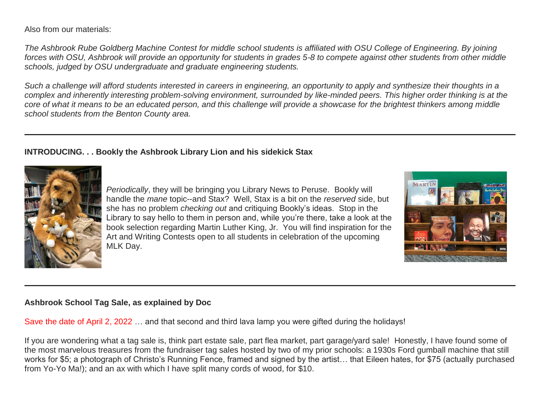Also from our materials:

*The Ashbrook Rube Goldberg Machine Contest for middle school students is affiliated with OSU College of Engineering. By joining forces with OSU, Ashbrook will provide an opportunity for students in grades 5-8 to compete against other students from other middle schools, judged by OSU undergraduate and graduate engineering students.*

*Such a challenge will afford students interested in careers in engineering, an opportunity to apply and synthesize their thoughts in a complex and inherently interesting problem-solving environment, surrounded by like-minded peers. This higher order thinking is at the core of what it means to be an educated person, and this challenge will provide a showcase for the brightest thinkers among middle school students from the Benton County area.*

## **INTRODUCING. . . Bookly the Ashbrook Library Lion and his sidekick Stax**



*Periodically*, they will be bringing you Library News to Peruse. Bookly will handle the *mane* topic--and Stax? Well, Stax is a bit on the *reserved* side, but she has no problem *checking out* and critiquing Bookly's ideas. Stop in the Library to say hello to them in person and, while you're there, take a look at the book selection regarding Martin Luther King, Jr. You will find inspiration for the Art and Writing Contests open to all students in celebration of the upcoming MLK Day.



## **Ashbrook School Tag Sale, as explained by Doc**

Save the date of April 2, 2022 … and that second and third lava lamp you were gifted during the holidays!

If you are wondering what a tag sale is, think part estate sale, part flea market, part garage/yard sale! Honestly, I have found some of the most marvelous treasures from the fundraiser tag sales hosted by two of my prior schools: a 1930s Ford gumball machine that still works for \$5; a photograph of Christo's Running Fence, framed and signed by the artist… that Eileen hates, for \$75 (actually purchased from Yo-Yo Ma!); and an ax with which I have split many cords of wood, for \$10.